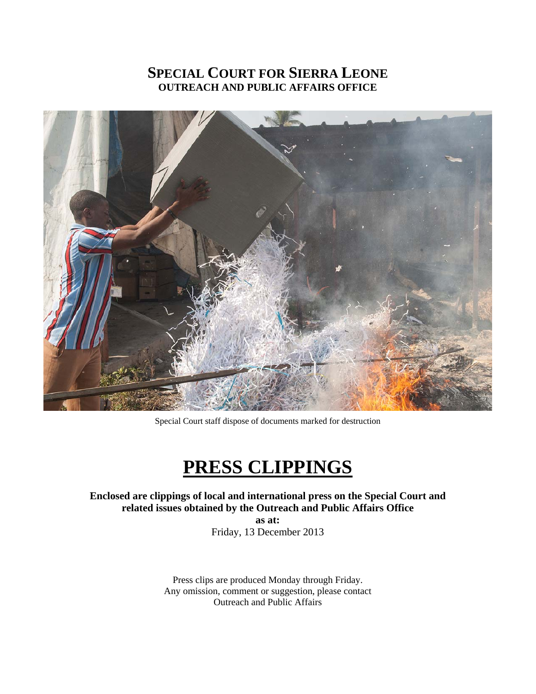# **SPECIAL COURT FOR SIERRA LEONE OUTREACH AND PUBLIC AFFAIRS OFFICE**



Special Court staff dispose of documents marked for destruction

# **PRESS CLIPPINGS**

# **Enclosed are clippings of local and international press on the Special Court and related issues obtained by the Outreach and Public Affairs Office**

**as at:**  Friday, 13 December 2013

Press clips are produced Monday through Friday. Any omission, comment or suggestion, please contact Outreach and Public Affairs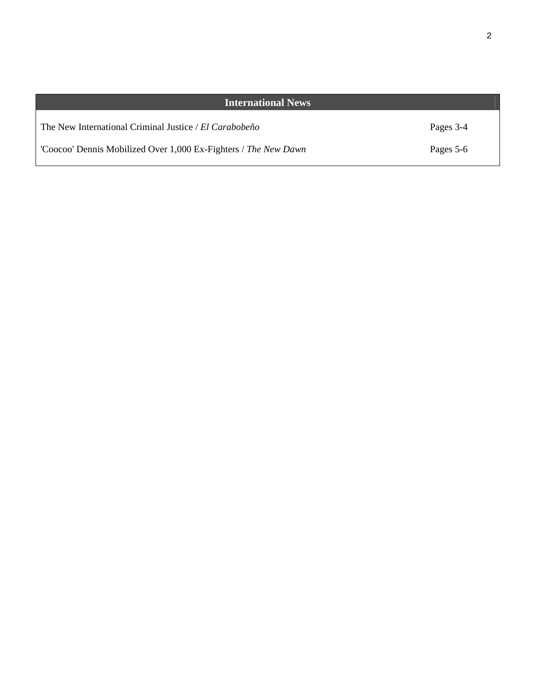| <b>International News</b>                                       |           |
|-----------------------------------------------------------------|-----------|
| The New International Criminal Justice / El Carabobeño          | Pages 3-4 |
| 'Coocoo' Dennis Mobilized Over 1,000 Ex-Fighters / The New Dawn | Pages 5-6 |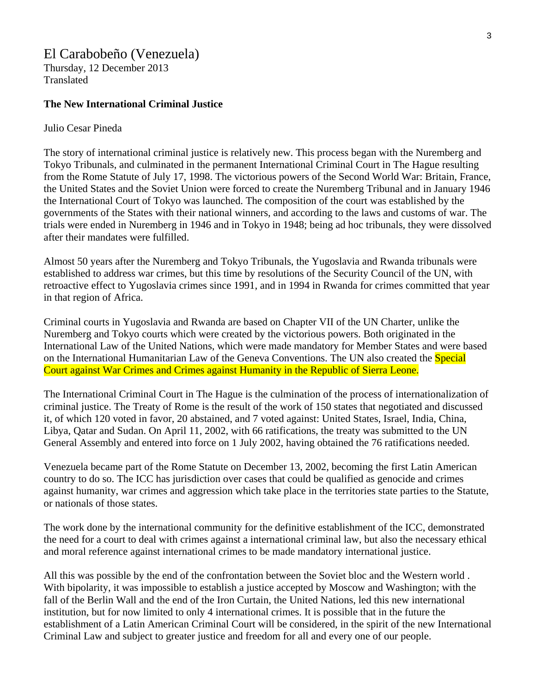# El Carabobeño (Venezuela)

Thursday, 12 December 2013 Translated

#### **The New International Criminal Justice**

#### Julio Cesar Pineda

The story of international criminal justice is relatively new. This process began with the Nuremberg and Tokyo Tribunals, and culminated in the permanent International Criminal Court in The Hague resulting from the Rome Statute of July 17, 1998. The victorious powers of the Second World War: Britain, France, the United States and the Soviet Union were forced to create the Nuremberg Tribunal and in January 1946 the International Court of Tokyo was launched. The composition of the court was established by the governments of the States with their national winners, and according to the laws and customs of war. The trials were ended in Nuremberg in 1946 and in Tokyo in 1948; being ad hoc tribunals, they were dissolved after their mandates were fulfilled.

Almost 50 years after the Nuremberg and Tokyo Tribunals, the Yugoslavia and Rwanda tribunals were established to address war crimes, but this time by resolutions of the Security Council of the UN, with retroactive effect to Yugoslavia crimes since 1991, and in 1994 in Rwanda for crimes committed that year in that region of Africa.

Criminal courts in Yugoslavia and Rwanda are based on Chapter VII of the UN Charter, unlike the Nuremberg and Tokyo courts which were created by the victorious powers. Both originated in the International Law of the United Nations, which were made mandatory for Member States and were based on the International Humanitarian Law of the Geneva Conventions. The UN also created the **Special** Court against War Crimes and Crimes against Humanity in the Republic of Sierra Leone.

The International Criminal Court in The Hague is the culmination of the process of internationalization of criminal justice. The Treaty of Rome is the result of the work of 150 states that negotiated and discussed it, of which 120 voted in favor, 20 abstained, and 7 voted against: United States, Israel, India, China, Libya, Qatar and Sudan. On April 11, 2002, with 66 ratifications, the treaty was submitted to the UN General Assembly and entered into force on 1 July 2002, having obtained the 76 ratifications needed.

Venezuela became part of the Rome Statute on December 13, 2002, becoming the first Latin American country to do so. The ICC has jurisdiction over cases that could be qualified as genocide and crimes against humanity, war crimes and aggression which take place in the territories state parties to the Statute, or nationals of those states.

The work done by the international community for the definitive establishment of the ICC, demonstrated the need for a court to deal with crimes against a international criminal law, but also the necessary ethical and moral reference against international crimes to be made mandatory international justice.

All this was possible by the end of the confrontation between the Soviet bloc and the Western world . With bipolarity, it was impossible to establish a justice accepted by Moscow and Washington; with the fall of the Berlin Wall and the end of the Iron Curtain, the United Nations, led this new international institution, but for now limited to only 4 international crimes. It is possible that in the future the establishment of a Latin American Criminal Court will be considered, in the spirit of the new International Criminal Law and subject to greater justice and freedom for all and every one of our people.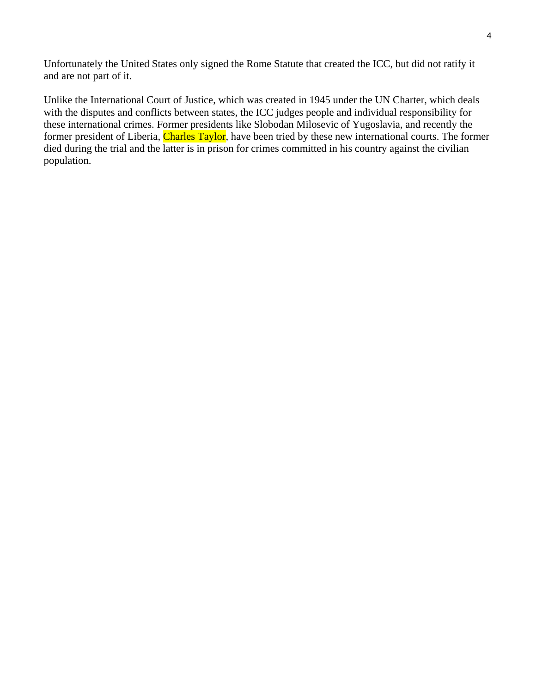Unfortunately the United States only signed the Rome Statute that created the ICC, but did not ratify it and are not part of it.

Unlike the International Court of Justice, which was created in 1945 under the UN Charter, which deals with the disputes and conflicts between states, the ICC judges people and individual responsibility for these international crimes. Former presidents like Slobodan Milosevic of Yugoslavia, and recently the former president of Liberia, Charles Taylor, have been tried by these new international courts. The former died during the trial and the latter is in prison for crimes committed in his country against the civilian population.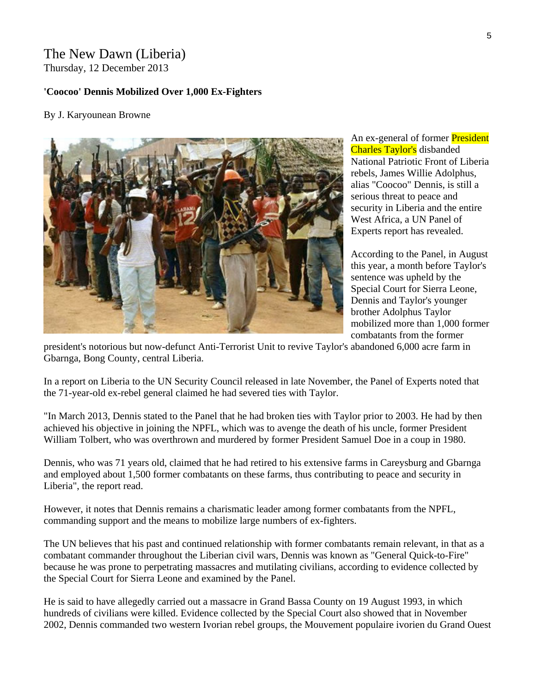# The New Dawn (Liberia) Thursday, 12 December 2013

### **'Coocoo' Dennis Mobilized Over 1,000 Ex-Fighters**

## By J. Karyounean Browne



An ex-general of former **President** Charles Taylor's disbanded National Patriotic Front of Liberia rebels, James Willie Adolphus, alias "Coocoo" Dennis, is still a serious threat to peace and security in Liberia and the entire West Africa, a UN Panel of Experts report has revealed.

According to the Panel, in August this year, a month before Taylor's sentence was upheld by the Special Court for Sierra Leone, Dennis and Taylor's younger brother Adolphus Taylor mobilized more than 1,000 former combatants from the former

president's notorious but now-defunct Anti-Terrorist Unit to revive Taylor's abandoned 6,000 acre farm in Gbarnga, Bong County, central Liberia.

In a report on Liberia to the UN Security Council released in late November, the Panel of Experts noted that the 71-year-old ex-rebel general claimed he had severed ties with Taylor.

"In March 2013, Dennis stated to the Panel that he had broken ties with Taylor prior to 2003. He had by then achieved his objective in joining the NPFL, which was to avenge the death of his uncle, former President William Tolbert, who was overthrown and murdered by former President Samuel Doe in a coup in 1980.

Dennis, who was 71 years old, claimed that he had retired to his extensive farms in Careysburg and Gbarnga and employed about 1,500 former combatants on these farms, thus contributing to peace and security in Liberia", the report read.

However, it notes that Dennis remains a charismatic leader among former combatants from the NPFL, commanding support and the means to mobilize large numbers of ex-fighters.

The UN believes that his past and continued relationship with former combatants remain relevant, in that as a combatant commander throughout the Liberian civil wars, Dennis was known as "General Quick-to-Fire" because he was prone to perpetrating massacres and mutilating civilians, according to evidence collected by the Special Court for Sierra Leone and examined by the Panel.

He is said to have allegedly carried out a massacre in Grand Bassa County on 19 August 1993, in which hundreds of civilians were killed. Evidence collected by the Special Court also showed that in November 2002, Dennis commanded two western Ivorian rebel groups, the Mouvement populaire ivorien du Grand Ouest